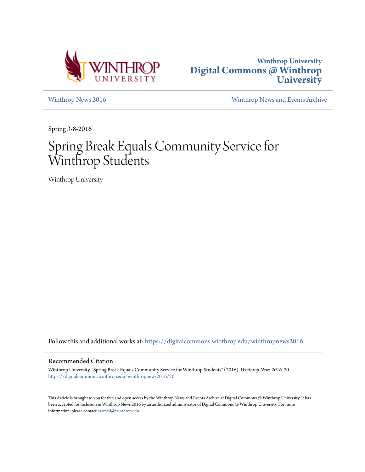



[Winthrop News 2016](https://digitalcommons.winthrop.edu/winthropnews2016?utm_source=digitalcommons.winthrop.edu%2Fwinthropnews2016%2F70&utm_medium=PDF&utm_campaign=PDFCoverPages) [Winthrop News and Events Archive](https://digitalcommons.winthrop.edu/winthropnewsarchives?utm_source=digitalcommons.winthrop.edu%2Fwinthropnews2016%2F70&utm_medium=PDF&utm_campaign=PDFCoverPages)

Spring 3-8-2016

# Spring Break Equals Community Service for Winthrop Students

Winthrop University

Follow this and additional works at: [https://digitalcommons.winthrop.edu/winthropnews2016](https://digitalcommons.winthrop.edu/winthropnews2016?utm_source=digitalcommons.winthrop.edu%2Fwinthropnews2016%2F70&utm_medium=PDF&utm_campaign=PDFCoverPages)

## Recommended Citation

Winthrop University, "Spring Break Equals Community Service for Winthrop Students" (2016). *Winthrop News 2016*. 70. [https://digitalcommons.winthrop.edu/winthropnews2016/70](https://digitalcommons.winthrop.edu/winthropnews2016/70?utm_source=digitalcommons.winthrop.edu%2Fwinthropnews2016%2F70&utm_medium=PDF&utm_campaign=PDFCoverPages)

This Article is brought to you for free and open access by the Winthrop News and Events Archive at Digital Commons @ Winthrop University. It has been accepted for inclusion in Winthrop News 2016 by an authorized administrator of Digital Commons @ Winthrop University. For more information, please contact [bramed@winthrop.edu](mailto:bramed@winthrop.edu).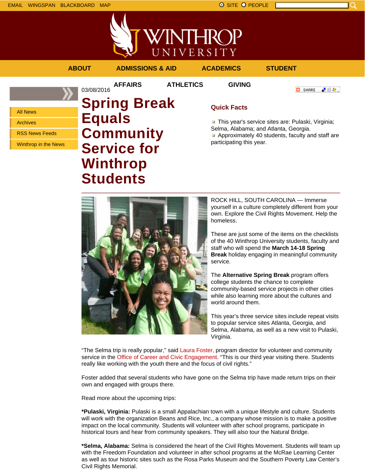All News Archives

RSS News Feeds



03/08/2016

UNIVERSITY

**AFFAIRS ATHLETICS GIVING**

**ABOUT ADMISSIONS & AID ACADEMICS STUDENT**

**C** SHARE ■ 80 ●

Winthrop in the News **Spring Break Equals Community Service for Winthrop**

**Students**

# **Quick Facts**

**This year's service sites are: Pulaski, Virginia;** Selma, Alabama; and Atlanta, Georgia. **Approximately 40 students, faculty and staff are** participating this year.



ROCK HILL, SOUTH CAROLINA — Immerse yourself in a culture completely different from your own. Explore the Civil Rights Movement. Help the homeless.

These are just some of the items on the checklists of the 40 Winthrop University students, faculty and staff who will spend the **March 14-18 Spring Break** holiday engaging in meaningful community service.

The **Alternative Spring Break** program offers college students the chance to complete community-based service projects in other cities while also learning more about the cultures and world around them.

This year's three service sites include repeat visits to popular service sites Atlanta, Georgia, and Selma, Alabama, as well as a new visit to Pulaski, Virginia.

"The Selma trip is really popular," said Laura Foster, program director for volunteer and community service in the Office of Career and Civic Engagement. "This is our third year visiting there. Students really like working with the youth there and the focus of civil rights."

Foster added that several students who have gone on the Selma trip have made return trips on their own and engaged with groups there.

Read more about the upcoming trips:

**\*Pulaski, Virginia:** Pulaski is a small Appalachian town with a unique lifestyle and culture. Students will work with the organization Beans and Rice, Inc., a company whose mission is to make a positive impact on the local community. Students will volunteer with after school programs, participate in historical tours and hear from community speakers. They will also tour the Natural Bridge.

**\*Selma, Alabama:** Selma is considered the heart of the Civil Rights Movement. Students will team up with the Freedom Foundation and volunteer in after school programs at the McRae Learning Center as well as tour historic sites such as the Rosa Parks Museum and the Southern Poverty Law Center's Civil Rights Memorial.